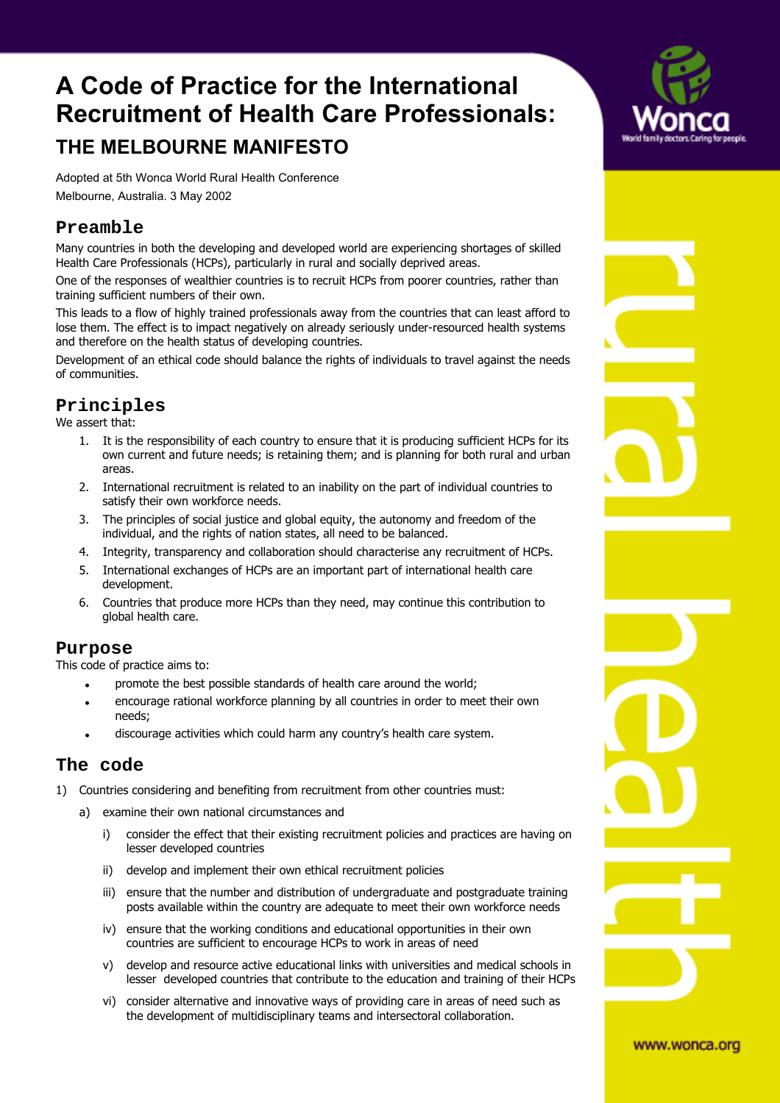# **A Code of Practice for the International Recruitment of Health Care Professionals: THE MELBOURNE MANIFESTO**

Adopted at 5th Wonca World Rural Health Conference Melbourne, Australia. 3 May 2002

## **Preamble**

Many countries in both the developing and developed world are experiencing shortages of skilled Health Care Professionals (HCPs), particularly in rural and socially deprived areas.

One of the responses of wealthier countries is to recruit HCPs from poorer countries, rather than training sufficient numbers of their own.

This leads to a flow of highly trained professionals away from the countries that can least afford to lose them. The effect is to impact negatively on already seriously under-resourced health systems and therefore on the health status of developing countries.

Development of an ethical code should balance the rights of individuals to travel against the needs of communities.

# **Principles**

We assert that:

- 1. It is the responsibility of each country to ensure that it is producing sufficient HCPs for its own current and future needs; is retaining them; and is planning for both rural and urban areas.
- 2. International recruitment is related to an inability on the part of individual countries to satisfy their own workforce needs.
- 3. The principles of social justice and global equity, the autonomy and freedom of the individual, and the rights of nation states, all need to be balanced.
- 4. Integrity, transparency and collaboration should characterise any recruitment of HCPs.
- 5. International exchanges of HCPs are an important part of international health care development.
- 6. Countries that produce more HCPs than they need, may continue this contribution to global health care.

#### **Purpose**

This code of practice aims to:

- promote the best possible standards of health care around the world;
- ! encourage rational workforce planning by all countries in order to meet their own needs;
- discourage activities which could harm any country's health care system.

### **The code**

- 1) Countries considering and benefiting from recruitment from other countries must:
	- a) examine their own national circumstances and
		- i) consider the effect that their existing recruitment policies and practices are having on lesser developed countries
		- ii) develop and implement their own ethical recruitment policies
		- iii) ensure that the number and distribution of undergraduate and postgraduate training posts available within the country are adequate to meet their own workforce needs
		- iv) ensure that the working conditions and educational opportunities in their own countries are sufficient to encourage HCPs to work in areas of need
		- v) develop and resource active educational links with universities and medical schools in lesser developed countries that contribute to the education and training of their HCPs
		- vi) consider alternative and innovative ways of providing care in areas of need such as the development of multidisciplinary teams and intersectoral collaboration.



www.wonca.org